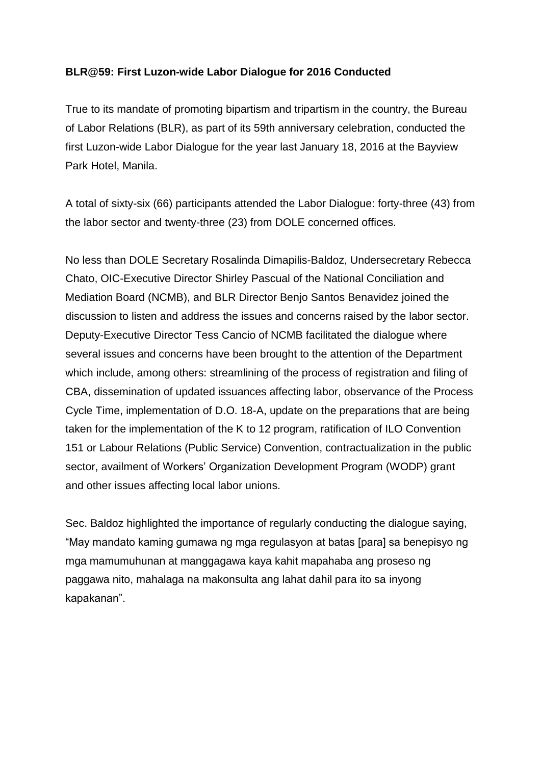## **BLR@59: First Luzon-wide Labor Dialogue for 2016 Conducted**

True to its mandate of promoting bipartism and tripartism in the country, the Bureau of Labor Relations (BLR), as part of its 59th anniversary celebration, conducted the first Luzon-wide Labor Dialogue for the year last January 18, 2016 at the Bayview Park Hotel, Manila.

A total of sixty-six (66) participants attended the Labor Dialogue: forty-three (43) from the labor sector and twenty-three (23) from DOLE concerned offices.

No less than DOLE Secretary Rosalinda Dimapilis-Baldoz, Undersecretary Rebecca Chato, OIC-Executive Director Shirley Pascual of the National Conciliation and Mediation Board (NCMB), and BLR Director Benjo Santos Benavidez joined the discussion to listen and address the issues and concerns raised by the labor sector. Deputy-Executive Director Tess Cancio of NCMB facilitated the dialogue where several issues and concerns have been brought to the attention of the Department which include, among others: streamlining of the process of registration and filing of CBA, dissemination of updated issuances affecting labor, observance of the Process Cycle Time, implementation of D.O. 18-A, update on the preparations that are being taken for the implementation of the K to 12 program, ratification of ILO Convention 151 or Labour Relations (Public Service) Convention, contractualization in the public sector, availment of Workers' Organization Development Program (WODP) grant and other issues affecting local labor unions.

Sec. Baldoz highlighted the importance of regularly conducting the dialogue saying, "May mandato kaming gumawa ng mga regulasyon at batas [para] sa benepisyo ng mga mamumuhunan at manggagawa kaya kahit mapahaba ang proseso ng paggawa nito, mahalaga na makonsulta ang lahat dahil para ito sa inyong kapakanan".